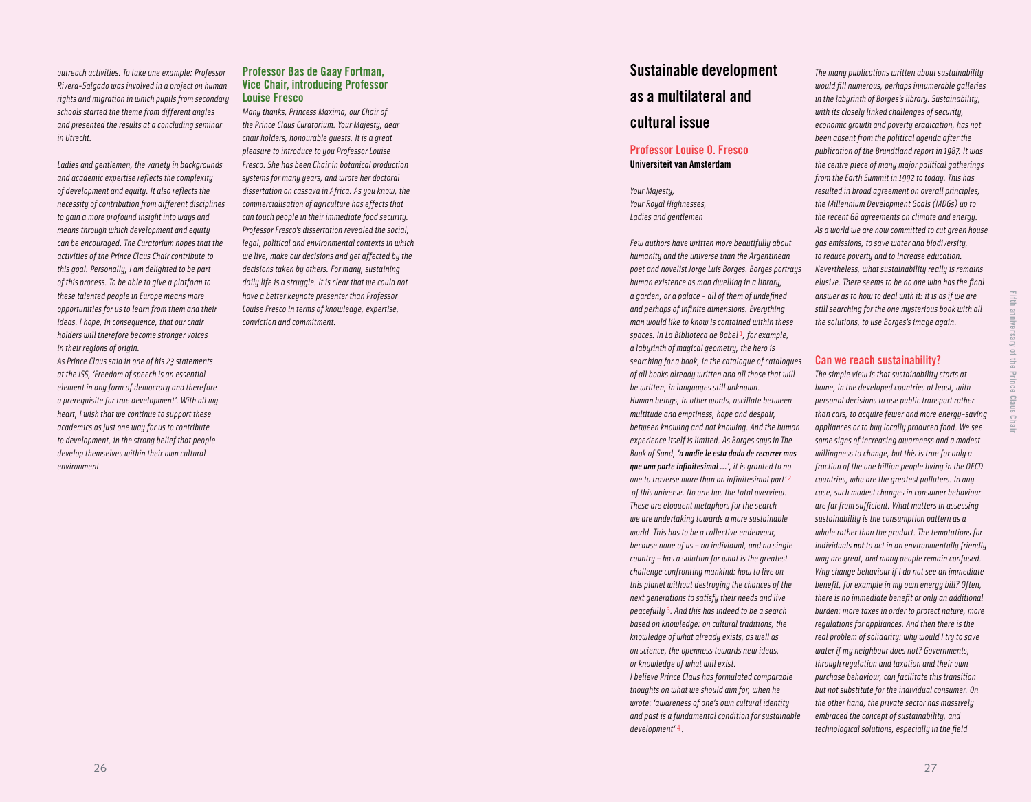*outreach activities. To take one example: Professor Rivera-Salgado was involved in a project on human rights and migration in which pupils from secondary schools started the theme from different angles and presented the results at a concluding seminar in Utrecht.*

*Ladies and gentlemen, the variety in backgrounds and academic expertise reflects the complexity of development and equity. It also reflects the necessity of contribution from different disciplines to gain a more profound insight into ways and means through which development and equity can be encouraged. The Curatorium hopes that the activities of the Prince Claus Chair contribute to this goal. Personally, I am delighted to be part of this process. To be able to give a platform to these talented people in Europe means more opportunities for us to learn from them and their ideas. I hope, in consequence, that our chair holders will therefore become stronger voices in their regions of origin.* 

*As Prince Claus said in one of his 23 statements at the ISS, 'Freedom of speech is an essential element in any form of democracy and therefore a prerequisite for true development'. With all my heart, I wish that we continue to support these academics as just one way for us to contribute to development, in the strong belief that people develop themselves within their own cultural environment.* 

# **Professor Bas de Gaay Fortman, Vice Chair, introducing Professor Louise Fresco**

*Many thanks, Princess Maxima, our Chair of the Prince Claus Curatorium. Your Majesty, dear chair holders, honourable guests. It is a great pleasure to introduce to you Professor Louise Fresco. She has been Chair in botanical production systems for many years, and wrote her doctoral dissertation on cassava in Africa. As you know, the commercialisation of agriculture has effects that can touch people in their immediate food security. Professor Fresco's dissertation revealed the social, legal, political and environmental contexts in which we live, make our decisions and get affected by the decisions taken by others. For many, sustaining daily life is a struggle. It is clear that we could not have a better keynote presenter than Professor Louise Fresco in terms of knowledge, expertise, conviction and commitment.* 

# **Sustainable development as a multilateral and cultural issue**

# **Professor Louise O. Fresco Universiteit van Amsterdam**

*Your Majesty, Your Royal Highnesses, Ladies and gentlemen*

*Few authors have written more beautifully about humanity and the universe than the Argentinean poet and novelist Jorge Luis Borges. Borges portrays human existence as man dwelling in a library, a garden, or a palace - all of them of undefined and perhaps of infinite dimensions. Everything man would like to know is contained within these spaces. In La Biblioteca de Babel*  1*, for example, a labyrinth of magical geometry, the hero is searching for a book, in the catalogue of catalogues of all books already written and all those that will be written, in languages still unknown. Human beings, in other words, oscillate between multitude and emptiness, hope and despair, between knowing and not knowing. And the human experience itself is limited. As Borges says in The Book of Sand, 'a nadie le esta dado de recorrer mas que una parte infinitesimal …', it is granted to no one to traverse more than an infinitesimal part'*  2  *of this universe. No one has the total overview. These are eloquent metaphors for the search we are undertaking towards a more sustainable world. This has to be a collective endeavour, because none of us – no individual, and no single country – has a solution for what is the greatest challenge confronting mankind: how to live on this planet without destroying the chances of the next generations to satisfy their needs and live peacefully*  3*. And this has indeed to be a search based on knowledge: on cultural traditions, the knowledge of what already exists, as well as on science, the openness towards new ideas, or knowledge of what will exist. I believe Prince Claus has formulated comparable thoughts on what we should aim for, when he wrote: 'awareness of one's own cultural identity and past is a fundamental condition for sustainable development'* 4 *.*

*The many publications written about sustainability would fill numerous, perhaps innumerable galleries in the labyrinth of Borges's library. Sustainability, with its closely linked challenges of security, economic growth and poverty eradication, has not been absent from the political agenda after the publication of the Brundtland report in 1987. It was the centre piece of many major political gatherings from the Earth Summit in 1992 to today. This has resulted in broad agreement on overall principles, the Millennium Development Goals (MDGs) up to the recent G8 agreements on climate and energy. As a world we are now committed to cut green house gas emissions, to save water and biodiversity, to reduce poverty and to increase education. Nevertheless, what sustainability really is remains elusive. There seems to be no one who has the final answer as to how to deal with it: it is as if we are still searching for the one mysterious book with all the solutions, to use Borges's image again.* 

## **Can we reach sustainability?**

**Fifth anniversary of the Prince Claus Chair**

anniversary of the Prince Claus Chai

Eifth

*The simple view is that sustainability starts at home, in the developed countries at least, with personal decisions to use public transport rather than cars, to acquire fewer and more energy-saving appliances or to buy locally produced food. We see some signs of increasing awareness and a modest willingness to change, but this is true for only a fraction of the one billion people living in the OECD countries, who are the greatest polluters. In any case, such modest changes in consumer behaviour are far from sufficient. What matters in assessing sustainability is the consumption pattern as a whole rather than the product. The temptations for individuals not to act in an environmentally friendly way are great, and many people remain confused. Why change behaviour if I do not see an immediate benefit, for example in my own energy bill? Often, there is no immediate benefit or only an additional burden: more taxes in order to protect nature, more regulations for appliances. And then there is the real problem of solidarity: why would I try to save water if my neighbour does not? Governments, through regulation and taxation and their own purchase behaviour, can facilitate this transition but not substitute for the individual consumer. On the other hand, the private sector has massively embraced the concept of sustainability, and technological solutions, especially in the field* 

2 7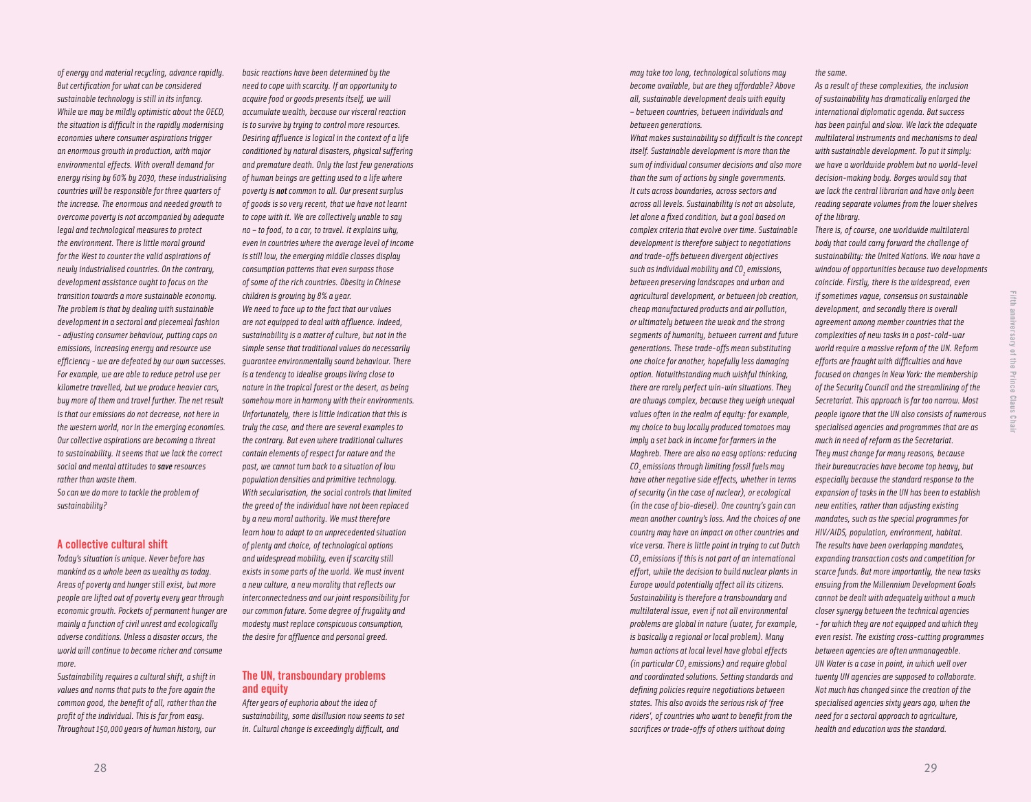*of energy and material recycling, advance rapidly. But certification for what can be considered sustainable technology is still in its infancy. While we may be mildly optimistic about the OECD, the situation is difficult in the rapidly modernising economies where consumer aspirations trigger an enormous growth in production, with major environmental effects. With overall demand for energy rising by 60% by 2030, these industrialising countries will be responsible for three quarters of the increase. The enormous and needed growth to overcome poverty is not accompanied by adequate legal and technological measures to protect the environment. There is little moral ground for the West to counter the valid aspirations of newly industrialised countries. On the contrary, development assistance ought to focus on the transition towards a more sustainable economy. The problem is that by dealing with sustainable development in a sectoral and piecemeal fashion - adjusting consumer behaviour, putting caps on emissions, increasing energy and resource use efficiency - we are defeated by our own successes. For example, we are able to reduce petrol use per kilometre travelled, but we produce heavier cars, buy more of them and travel further. The net result is that our emissions do not decrease, not here in the western world, nor in the emerging economies. Our collective aspirations are becoming a threat to sustainability. It seems that we lack the correct social and mental attitudes to save resources rather than waste them. So can we do more to tackle the problem of* 

#### **A collective cultural shift**

*sustainability?*

*Today's situation is unique. Never before has mankind as a whole been as wealthy as today. Areas of poverty and hunger still exist, but more people are lifted out of poverty every year through economic growth. Pockets of permanent hunger are mainly a function of civil unrest and ecologically adverse conditions. Unless a disaster occurs, the world will continue to become richer and consume more.* 

*Sustainability requires a cultural shift, a shift in values and norms that puts to the fore again the common good, the benefit of all, rather than the profit of the individual. This is far from easy. Throughout 150,000 years of human history, our* 

*basic reactions have been determined by the need to cope with scarcity. If an opportunity to acquire food or goods presents itself, we will accumulate wealth, because our visceral reaction is to survive by truing to control more resources. Desiring affluence is logical in the context of a life conditioned by natural disasters, physical suffering and premature death. Only the last few generations of human beings are getting used to a life where poverty is not common to all. Our present surplus of goods is so very recent, that we have not learnt to cope with it. We are collectively unable to say no – to food, to a car, to travel. It explains why, even in countries where the average level of income is still low, the emerging middle classes display consumption patterns that even surpass those of some of the rich countries. Obesity in Chinese children is growing by 8% a year. We need to face up to the fact that our values are not equipped to deal with affluence. Indeed, sustainability is a matter of culture, but not in the simple sense that traditional values do necessarily guarantee environmentally sound behaviour. There is a tendency to idealise groups living close to nature in the tropical forest or the desert, as being somehow more in harmony with their environments. Unfortunately, there is little indication that this is truly the case, and there are several examples to the contrary. But even where traditional cultures contain elements of respect for nature and the past, we cannot turn back to a situation of low population densities and primitive technology. With secularisation, the social controls that limited the greed of the individual have not been replaced by a new moral authority. We must therefore learn how to adapt to an unprecedented situation of plenty and choice, of technological options and widespread mobility, even if scarcity still exists in some parts of the world. We must invent a new culture, a new morality that reflects our* 

*interconnectedness and our joint responsibility for our common future. Some degree of frugality and modesty must replace conspicuous consumption, the desire for affluence and personal greed.* 

## **The UN, transboundary problems and equity**

*After years of euphoria about the idea of sustainability, some disillusion now seems to set in. Cultural change is exceedingly difficult, and* 

*may take too long, technological solutions may become available, but are they affordable? Above all, sustainable development deals with equity – between countries, between individuals and between generations.*

*What makes sustainability so difficult is the concept itself. Sustainable development is more than the sum of individual consumer decisions and also more than the sum of actions by single governments. It cuts across boundaries, across sectors and across all levels. Sustainability is not an absolute, let alone a fixed condition, but a goal based on complex criteria that evolve over time. Sustainable development is therefore subject to negotiations and trade-offs between divergent objectives such as individual mobility and CO 2 emissions, between preserving landscapes and urban and agricultural development, or between job creation, cheap manufactured products and air pollution, or ultimately between the weak and the strong segments of humanity, between current and future generations. These trade-offs mean substituting one choice for another, hopefully less damaging option. Notwithstanding much wishful thinking, there are rarely perfect win-win situations. They are always complex, because they weigh unequal values often in the realm of equity: for example, my choice to buy locally produced tomatoes may imply a set back in income for farmers in the Maghreb. There are also no easy options: reducing CO 2 emissions through limiting fossil fuels may have other negative side effects, whether in terms of security (in the case of nuclear), or ecological (in the case of bio-diesel). One country's gain can mean another country's loss. And the choices of one country may have an impact on other countries and vice versa. There is little point in trying to cut Dutch CO 2 emissions if this is not part of an international effort, while the decision to build nuclear plants in Europe would potentially affect all its citizens. Sustainability is therefore a transboundary and multilateral issue, even if not all environmental problems are global in nature (water, for example, is basically a regional or local problem). Many human actions at local level have global effects (in particular CO 2 emissions) and require global and coordinated solutions. Setting standards and defining policies require negotiations between states. This also avoids the serious risk of 'free riders', of countries who want to benefit from the sacrifices or trade-offs of others without doing* 

*the same.* 

*As a result of these complexities, the inclusion of sustainability has dramatically enlarged the international diplomatic agenda. But success has been painful and slow. We lack the adequate multilateral instruments and mechanisms to deal with sustainable development. To put it simply: we have a worldwide problem but no world-level decision-making body. Borges would say that we lack the central librarian and have only been reading separate volumes from the lower shelves of the library.*

*There is, of course, one worldwide multilateral body that could carry forward the challenge of sustainability: the United Nations. We now have a window of opportunities because two developments coincide. Firstly, there is the widespread, even if sometimes vague, consensus on sustainable development, and secondly there is overall agreement among member countries that the complexities of new tasks in a post-cold-war world require a massive reform of the UN. Reform efforts are fraught with difficulties and have focused on changes in New York: the membership of the Security Council and the streamlining of the Secretariat. This approach is far too narrow. Most people ignore that the UN also consists of numerous specialised agencies and programmes that are as much in need of reform as the Secretariat. They must change for many reasons, because their bureaucracies have become top heavy, but especially because the standard response to the expansion of tasks in the UN has been to establish new entities, rather than adjusting existing mandates, such as the special programmes for HIV/AIDS, population, environment, habitat. The results have been overlapping mandates, expanding transaction costs and competition for scarce funds. But more importantly, the new tasks ensuing from the Millennium Development Goals cannot be dealt with adequately without a much closer synergy between the technical agencies - for which they are not equipped and which they even resist. The existing cross-cutting programmes between agencies are often unmanageable. UN Water is a case in point, in which well over twenty UN agencies are supposed to collaborate. Not much has changed since the creation of the specialised agencies sixty years ago, when the need for a sectoral approach to agriculture, health and education was the standard.*